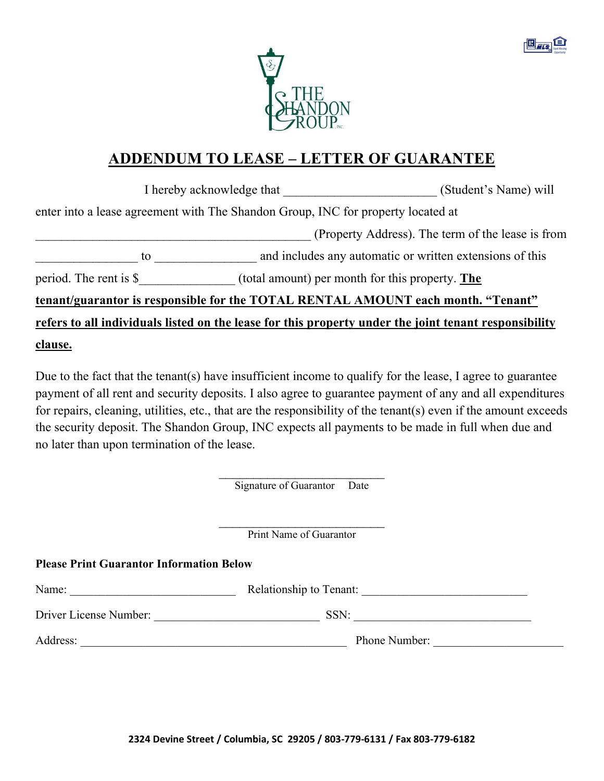



## **ADDENDUM TO LEASE – LETTER OF GUARANTEE**

|                         | I hereby acknowledge that                                                        | (Student's Name) will                                                                                 |
|-------------------------|----------------------------------------------------------------------------------|-------------------------------------------------------------------------------------------------------|
|                         | enter into a lease agreement with The Shandon Group, INC for property located at |                                                                                                       |
|                         |                                                                                  | (Property Address). The term of the lease is from                                                     |
| to                      |                                                                                  | and includes any automatic or written extensions of this                                              |
| period. The rent is $$$ |                                                                                  | (total amount) per month for this property. The                                                       |
|                         |                                                                                  | tenant/guarantor is responsible for the TOTAL RENTAL AMOUNT each month. "Tenant"                      |
|                         |                                                                                  | refers to all individuals listed on the lease for this property under the joint tenant responsibility |
| <u>clause.</u>          |                                                                                  |                                                                                                       |

Due to the fact that the tenant(s) have insufficient income to qualify for the lease, I agree to guarantee payment of all rent and security deposits. I also agree to guarantee payment of any and all expenditures for repairs, cleaning, utilities, etc., that are the responsibility of the tenant(s) even if the amount exceeds the security deposit. The Shandon Group, INC expects all payments to be made in full when due and no later than upon termination of the lease.

Signature of Guarantor Date

 $\mathcal{L}_\text{max}$  , where  $\mathcal{L}_\text{max}$  and  $\mathcal{L}_\text{max}$ Print Name of Guarantor

## **Please Print Guarantor Information Below**

| Name:                  | Relationship to Tenant: |  |
|------------------------|-------------------------|--|
| Driver License Number: | SSN:                    |  |
| Address:               | Phone Number:           |  |